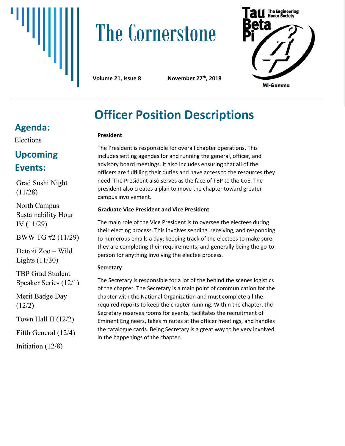

# **The Cornerstone**



**Volume 21, Issue 8** 

**th, 2018**

# **Officer Position Descriptions**

#### **President**

The President is responsible for overall chapter operations. This includes setting agendas for and running the general, officer, and advisory board meetings. It also includes ensuring that all of the officers are fulfilling their duties and have access to the resources they need. The President also serves as the face of TBP to the CoE. The president also creates a plan to move the chapter toward greater campus involvement.

#### **Graduate Vice President and Vice President**

The main role of the Vice President is to oversee the electees during their electing process. This involves sending, receiving, and responding to numerous emails a day; keeping track of the electees to make sure they are completing their requirements; and generally being the go-toperson for anything involving the electee process.

#### **Secretary**

The Secretary is responsible for a lot of the behind the scenes logistics of the chapter. The Secretary is a main point of communication for the chapter with the National Organization and must complete all the required reports to keep the chapter running. Within the chapter, the Secretary reserves rooms for events, facilitates the recruitment of Eminent Engineers, takes minutes at the officer meetings, and handles the catalogue cards. Being Secretary is a great way to be very involved in the happenings of the chapter.

### **Agenda:**

Elections

### **Upcoming Events:**

Grad Sushi Night (11/28)

North Campus Sustainability Hour IV (11/29)

BWW TG #2 (11/29)

Detroit Zoo – Wild Lights (11/30)

TBP Grad Student Speaker Series (12/1)

Merit Badge Day (12/2)

Town Hall II (12/2)

Fifth General (12/4)

Initiation (12/8)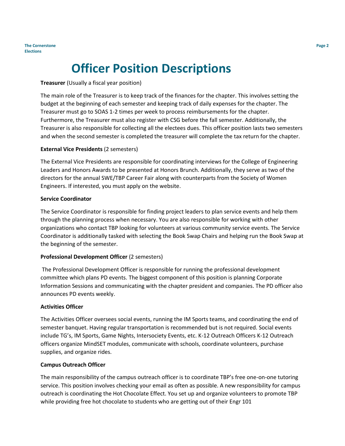## **Officer Position Descriptions**

#### **Treasurer** (Usually a fiscal year position)

The main role of the Treasurer is to keep track of the finances for the chapter. This involves setting the budget at the beginning of each semester and keeping track of daily expenses for the chapter. The Treasurer must go to SOAS 1-2 times per week to process reimbursements for the chapter. Furthermore, the Treasurer must also register with CSG before the fall semester. Additionally, the Treasurer is also responsible for collecting all the electees dues. This officer position lasts two semesters and when the second semester is completed the treasurer will complete the tax return for the chapter.

#### **External Vice Presidents** (2 semesters)

The External Vice Presidents are responsible for coordinating interviews for the College of Engineering Leaders and Honors Awards to be presented at Honors Brunch. Additionally, they serve as two of the directors for the annual SWE/TBP Career Fair along with counterparts from the Society of Women Engineers. If interested, you must apply on the website.

#### **Service Coordinator**

The Service Coordinator is responsible for finding project leaders to plan service events and help them through the planning process when necessary. You are also responsible for working with other organizations who contact TBP looking for volunteers at various community service events. The Service Coordinator is additionally tasked with selecting the Book Swap Chairs and helping run the Book Swap at the beginning of the semester.

#### **Professional Development Officer** (2 semesters)

The Professional Development Officer is responsible for running the professional development committee which plans PD events. The biggest component of this position is planning Corporate Information Sessions and communicating with the chapter president and companies. The PD officer also announces PD events weekly.

#### **Activities Officer**

The Activities Officer oversees social events, running the IM Sports teams, and coordinating the end of semester banquet. Having regular transportation is recommended but is not required. Social events include TG's, IM Sports, Game Nights, Intersociety Events, etc. K-12 Outreach Officers K-12 Outreach officers organize MindSET modules, communicate with schools, coordinate volunteers, purchase supplies, and organize rides.

#### **Campus Outreach Officer**

The main responsibility of the campus outreach officer is to coordinate TBP's free one-on-one tutoring service. This position involves checking your email as often as possible. A new responsibility for campus outreach is coordinating the Hot Chocolate Effect. You set up and organize volunteers to promote TBP while providing free hot chocolate to students who are getting out of their Engr 101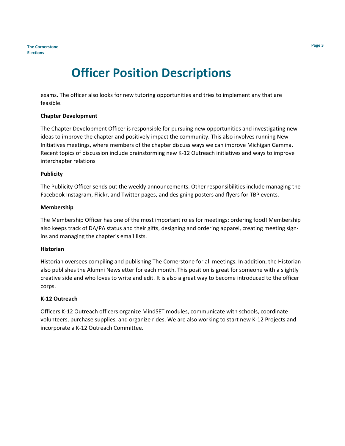### **Officer Position Descriptions**

exams. The officer also looks for new tutoring opportunities and tries to implement any that are feasible.

#### **Chapter Development**

The Chapter Development Officer is responsible for pursuing new opportunities and investigating new ideas to improve the chapter and positively impact the community. This also involves running New Initiatives meetings, where members of the chapter discuss ways we can improve Michigan Gamma. Recent topics of discussion include brainstorming new K-12 Outreach initiatives and ways to improve interchapter relations

#### **Publicity**

The Publicity Officer sends out the weekly announcements. Other responsibilities include managing the Facebook Instagram, Flickr, and Twitter pages, and designing posters and flyers for TBP events.

#### **Membership**

The Membership Officer has one of the most important roles for meetings: ordering food! Membership also keeps track of DA/PA status and their gifts, designing and ordering apparel, creating meeting signins and managing the chapter's email lists.

#### **Historian**

Historian oversees compiling and publishing The Cornerstone for all meetings. In addition, the Historian also publishes the Alumni Newsletter for each month. This position is great for someone with a slightly creative side and who loves to write and edit. It is also a great way to become introduced to the officer corps.

#### **K-12 Outreach**

Officers K-12 Outreach officers organize MindSET modules, communicate with schools, coordinate volunteers, purchase supplies, and organize rides. We are also working to start new K-12 Projects and incorporate a K-12 Outreach Committee.